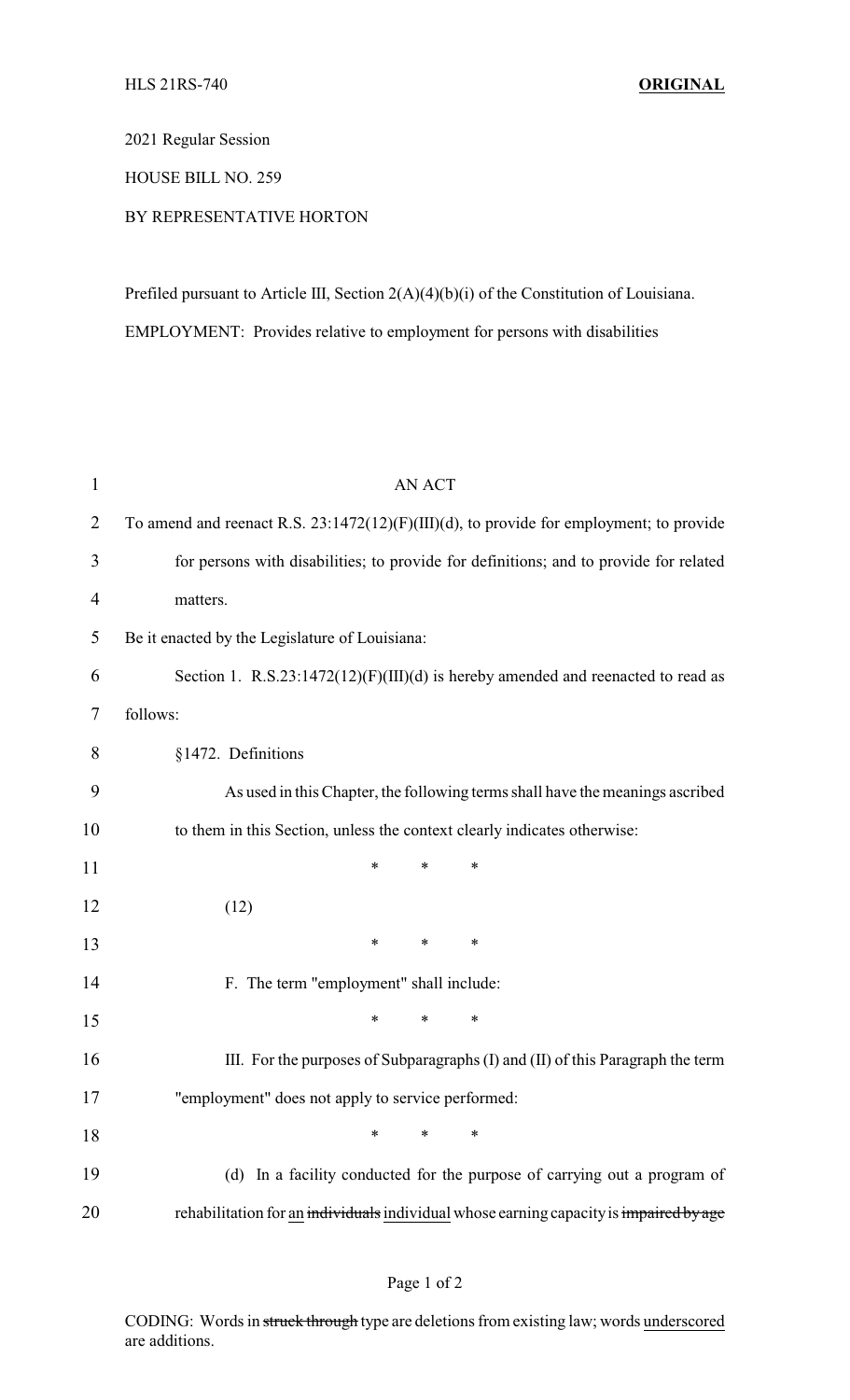2021 Regular Session

HOUSE BILL NO. 259

## BY REPRESENTATIVE HORTON

Prefiled pursuant to Article III, Section 2(A)(4)(b)(i) of the Constitution of Louisiana. EMPLOYMENT: Provides relative to employment for persons with disabilities

| $\mathbf{1}$   | <b>AN ACT</b>                                                                           |
|----------------|-----------------------------------------------------------------------------------------|
| $\overline{2}$ | To amend and reenact R.S. 23:1472(12)(F)(III)(d), to provide for employment; to provide |
| 3              | for persons with disabilities; to provide for definitions; and to provide for related   |
| $\overline{4}$ | matters.                                                                                |
| 5              | Be it enacted by the Legislature of Louisiana:                                          |
| 6              | Section 1. R.S.23:1472(12)(F)(III)(d) is hereby amended and reenacted to read as        |
| 7              | follows:                                                                                |
| 8              | §1472. Definitions                                                                      |
| 9              | As used in this Chapter, the following terms shall have the meanings ascribed           |
| 10             | to them in this Section, unless the context clearly indicates otherwise:                |
| 11             | $\ast$<br>$\ast$<br>*                                                                   |
| 12             | (12)                                                                                    |
| 13             | $\ast$<br>∗<br>∗                                                                        |
| 14             | F. The term "employment" shall include:                                                 |
| 15             | $\ast$<br>*<br>*                                                                        |
| 16             | III. For the purposes of Subparagraphs (I) and (II) of this Paragraph the term          |
| 17             | "employment" does not apply to service performed:                                       |
| 18             | $\ast$<br>$\ast$<br>*                                                                   |
| 19             | (d) In a facility conducted for the purpose of carrying out a program of                |
| 20             | rehabilitation for an individuals individual whose earning capacity is impaired by age  |

CODING: Words in struck through type are deletions from existing law; words underscored are additions.